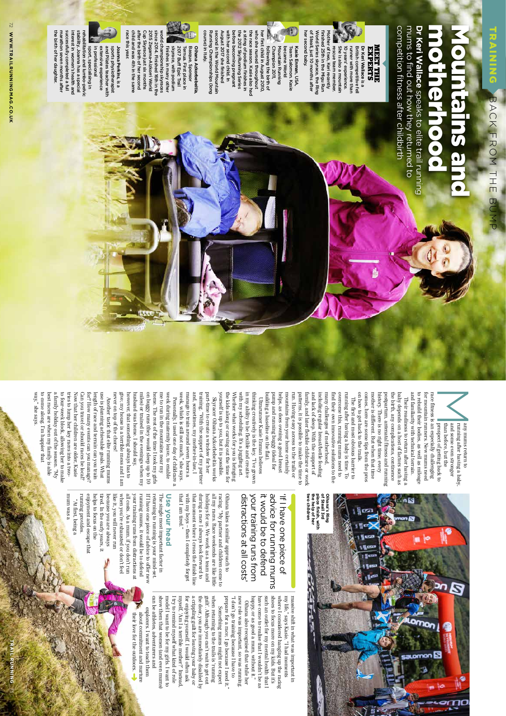# **Dr Keri Wallace** motherhood Mountains and

competition fitness after childbirth mums to find out how they returned to Dr Keri Wallace speaks to elite trail running competition fitness after childbirth mums to find out how they returned to speaks to elite trail running



of Steall, just 10 months after her second baby. her second baby. of Steall, just 10 months after World Series skyrace, the Ring World Series skyrace, the Ring finished 25th in the Migu Run finished 25th in the Migu Run Mother of two, Keri recently ther of two, Keri recently runner with more than rescue team member She is also a mountain 10 years' experience British competitive fel Dr Keri Wallace is a rescue team member. She is also a mountain 10 years' experience. runner with more than British competitive fell **Dr Keri Wallace EXPERTS** 

the 2012 SkyRunning Series<br>before becoming pregnant the race season. Kasie also had second in the World Mountain August 2017 she finished August 2017 she finished with her second child. In with her second child. In before becoming pregnant the 2012 SkyRunning Series a string of podium finishes in a string of podium finishes in the race season. Kasie also had who she nursed throughout her first child in August 2010, her first child in August 2010, vho she nursed throughout following the birth of Champion 2011, Mountain Running Kasie Enman, USA following the birth of Champion 2011, Mountain Running became World became World Team Salomon. Kasie Team Salomon. **Kasie Enman**

course) in Italy. course) in Italy. Running Championships (long Running Championships (long second in the World Mountair 2017 Buff Epic Trail Ternua. First place in Oihana Azkorbebeitia skyrace, with podium 2017 Buff Epic Trail Basque, Sponsor Basque, Sponsor **Oihana Azkorbebeitia**First place in ,

world championship skyraces vorld championship skyraces finishes in many other finishes in many other skyrace, with podium

child and was 4th in the same Cup Skyrace just six months<br>after the birth of her second 2015 Zegama-Aizkorri World child and was 4th in the same after the birth of her second Cup Skyrace just six months 2015 Zegama-Aizkorri World since 2014. Finished 16th in the since 2014. Finished 16th in the

race triis year race this year. in professional extensive experience and Pilates teacher with sports physiotherapist Joanna Perkins, is a in professional extensive experience and Pilates teacher with sports physiotherapist **Joanna Perkins**

marathon seven months after marathon seven months after successfully completed a full successfully completed a full interest in women's health and interest in women's health and stability. Joanna has a special rehabilitation and lumbo-pelvic tability. Joanna has a special litation and lumbo-pelvic sport, specialising in sport, specialising in

the birth of her daughter.

the birth of her daughter.

 $\overline{\leq}$ 

and familiarity with technical terrain to rebuild their bodies, as well as mileage history. There is no right time; every history. There is no right time; every postpartum, antenatal fitness and running postpartum the birth, any complications, continence the birth, any complications, continence baby depends on a host of factors such as baby depends on a host of factors such as and familiarity to rebuild their bodies, as well as mileage Their readiness to return after having a Their readiness to return after having a , antenatal fitness and running with technical terrain.

and lack of sleep. With the support of and lack of sleep. With the support of including regular breast/bottle feeding including regular breast/bottle feeding many challenges of motherhood, many challenges of motherhood, find their own innovative solutions to the overcome this, running mums need to overcome this, running mums need to running after having a baby is time. To running after having a baby is time. To on how to get back to the trails on how to get back to the trails. The first and most obvious barrier to The first and most obvious barrier to

in my ability to be flexible and creative with my scheduling. It's a juggling act. with my scheduling. It's a juggling act. in my ability to be flexible and creative building a baseline on the flat). building a baseline on the flat). pump and running buggy (ideal for pump and running buggy (ideal for helps, as does owning a good breast helps, as does owning a good breast Ultrarunner Kasie Enman believes Ultrarunner Kasie Enman believes

the kids along or carving out the time for yourself is up to you, but it is possible. yourself is up to you, but it is possible. Whether what works for you is bringing Whether what works for you is bringing Skyracer Oihana Azkorbebeitia works Skyracer Oihana Azkorbebeitia works

week, which is still not much," she says. week, which is still not much," she says. manage to train around seven hours a manage to train around seven hours a and, sometimes, my mother-in-law, I and, sometimes, my mother-in-law, I part-time to create a window for her part-time to create a window for her

however, that something always has to however, that something always has to husband was home. I should say, husband was home. I should say miles) or trained in the evenings when my or puggy runs (they would sleep up to 10 on buggy runs (they would sleep up to 10 home. The rest of the time I took my girls home. The rest of the time I took my girls me to run in the mountains near my me to run in the mountains near my week during maternity leave, to enable week during maternity leave, to enable Personally, I used one day of childcare a Personally, I used one day of childcare a

a family holiday out of the season. "My to four-week block, allowing her to make trues to lump her key races into a twoto come along. I'm happier that to come along. I'm happier that best races are when my tamily is able best races are when my family is able a family holiday out of the season. "My to four-week block, allowing her to make tries to lump her key races into a Now that her children are older, Kasie Now that her children are older, Kasie Can you travel or should races be local? Can you travel or should races be local? for? How many events can you manage: for? How many events can you manage? length of race and terrain can you train length of race and terrain can you train use is planning achievable goals. What use is planning achievable goals. What never on top of the chores! never on top of the chores! Another tactic that elite running mums Another tactic that elite running

way

," she says.



comes, here are some tips from the pros comes, here are some tips from the pros mother is different. But when that time mother is different. But when that time

mountans rrom your nome certamity mountains from your home certainly run. Having easy access to the trails or run. Having easy access to the trails or patterns, it is possible to make the time to patterns, it is possible to make the time to family, and later flexible childcare or work family, and later flexible childcare or work find their own innovative solutions to the

thinking creatively is the key. "I've grown thinking creatively is the key. "I've grown

the kids along or carving out the time for With the support of my partner

training. "With the support of my partner

miles) or trained in the evenings when my give; my house is a terrible mess and I am ; my house is a terrible mess and I am

mums a saw mun running provides enjoyment and escape that mum was a running provides. enjoyment and escape that "At first, being a "At first, being a



#### advice for running mums it would be to defend <sup>11</sup> have one piece of it would be to defend advice for running mums 'If I have one piece of

my life," says Kasie. "I had moments massive shift in what was important in ," says Kasie. "I had moments shoes to focus more on my kids. But i where I considered hanging up the racing shoes to focus more on my kids. But if's such an outlet for my mental health that I happy, or as good a mum, without it." have come to realise that I wouldn't be as Oihana also recognised that while her

such an outlet for my mental health that where I considered hanging up the racing massive shift in what was important in

distractions at all costs' all my races. Race weekends are like little racing. "My partner and children come to Oihana takes a similar approach to your training runs trom all my races. Race weekends are like little racing. "My partner and children come to Oihana takes a similar approach to distractions at all costs' your training runs from

> prepare for a race; I go because I need it." "I don't go training because I have to new role was important, so was running.

new role was important, so was running happy, or as good a mum, without it." have come to realise that I wouldn't be as Oihana also recognised that while her

Something mums might not expect

Something mums might not expect

that I am tired." with my boys - then I completely forget that moment where I cross the finish line during a race I always look forward to holidays for us. We work as a team and that I am tired." with my boys – then I completely forget that moment where I cross the finish line during a race holidays for us. We work as a team and I always look forward to

myself, 'Am I a terrible mother'?' Instead for enjoying yourself. I would often ask a crippling guilt for leaving your baby or the door, you are immediately disabled by guilt'. Although you can't wait to get out when returning to the trails is 'running

I try to remind

, 'Am I a terrible mother?' Instead,

myself what kind of role model I want to be for my girls. I want to can be athletes, adventurers and show them that women (and even mums) explorers. I want to teach them their love for the outdoors. about commitment and nurture

## **Use your head**

helps to focus on the tired. In the early years, it because you are always like it, you will never run when you're exhausted or don't feel all costs. As a mum, if you don't run your training runs from distractions at running mums, it would be to defend If I have one piece of advice to offer new returning to running is your mind-set The single most important factor in helps to focus on the because you are always like it, you will never run when you're exhausted or don't feel all costs. As a mum, if you don't run your training runs running mums, it would be to defend If I have one piece of advice to offer new returning to running is your mind-set. **Use your head**  he single most important factor in . In the early years, it from distractions at

their love for the outdoors.

can be athletes, adventurers and stiow them that women (and even muns) model I want to be for my girls. I want to I try to remind myself what kind of role for enjoying yourself. I would often ask a crippling guilt for leaving your baby or the door, you are immediately disabled by guilt'. Although you can't wait to get out when returning to the trails is 'running prepare for a race; I go because I need it." "I don't go training because I have to

explorers. I want to teach them about commitment and nurture

53